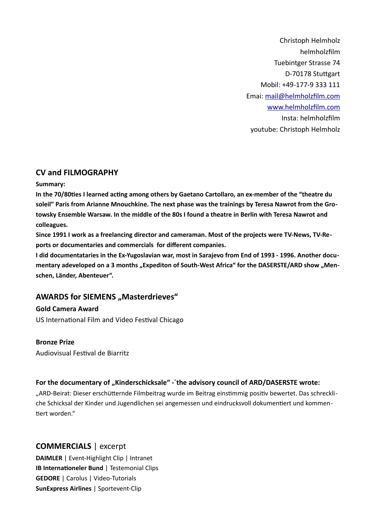Christoph Helmholz helmholzfilm Tuebintger Strasse 74 D-70178 Stuttgart Mobil: +49-177-9 333 111 Emai: [mail@helmholzfilm.com](mailto:mail@helmholzfilm.com) [www.helmholzfilm.com](http://www.helmholzfilm.com/) Insta: helmholzfilm youtube: Christoph Helmholz

# **CV and FILMOGRAPHY**

## **Summary:**

**In the 70/80ties I learned acting among others by Gaetano Cartollaro, an ex-member of the "theatre du soleil" Paris from Arianne Mnouchkine. The next phase was the trainings by Teresa Nawrot from the Grotowsky Ensemble Warsaw. In the middle of the 80s I found a theatre in Berlin with Teresa Nawrot and colleagues.** 

**Since 1991 I work as a freelancing director and cameraman. Most of the projects were TV-News, TV-Reports or documentaries and commercials for different companies.** 

**I did documentataries in the Ex-Yugoslavian war, most in Sarajevo from End of 1993 - 1996. Another docu**mentary adeveloped on a 3 months "Expediton of South-West Africa" for the DASERSTE/ARD show "Men**schen, Länder, Abenteuer".** 

# **AWARDS for SIEMENS "Masterdrieves"**

**Gold Camera Award** US International Film and Video Festival Chicago

# **Bronze Prize**

Audiovisual Festival de Biarritz

# For the documentary of "Kinderschicksale" - 'the advisory council of ARD/DASERSTE wrote:

"ARD-Beirat: Dieser erschütternde Filmbeitrag wurde im Beitrag einstimmig positiv bewertet. Das schreckliche Schicksal der Kinder und Jugendlichen sei angemessen und eindrucksvoll dokumentiert und kommentiert worden."

# **COMMERCIALS** | excerpt

**DAIMLER** | Event-Highlight Clip | Intranet **IB Internationeler Bund** | Testemonial Clips **GEDORE** | Carolus | Video-Tutorials **SunExpress Airlines** | Sportevent-Clip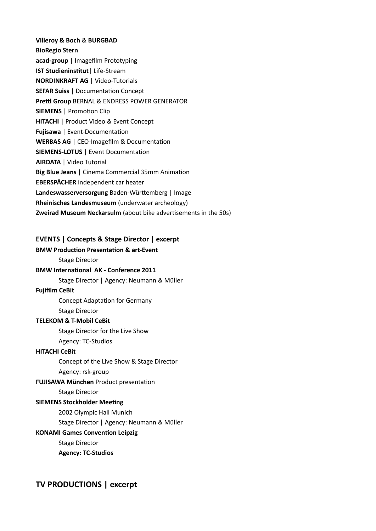**Villeroy & Boch** & **BURGBAD BioRegio Stern acad-group** | Imagefilm Prototyping **IST Studieninstitut**| Life-Stream **NORDINKRAFT AG** | Video-Tutorials **SEFAR Suiss** | Documentation Concept **Prettl Group** BERNAL & ENDRESS POWER GENERATOR **SIEMENS** | Promotion Clip **HITACHI** | Product Video & Event Concept **Fujisawa** | Event-Documentation **WERBAS AG** | CEO-Imagefilm & Documentation **SIEMENS-LOTUS** | Event Documentation **AIRDATA** | Video Tutorial **Big Blue Jeans** | Cinema Commercial 35mm Animation **EBERSPÄCHER** independent car heater **Landeswasserversorgung** Baden-Württemberg | Image **Rheinisches Landesmuseum** (underwater archeology) **Zweirad Museum Neckarsulm** (about bike advertisements in the 50s)

## **EVENTS | Concepts & Stage Director | excerpt**

#### **BMW Production Presentation & art-Event**

Stage Director

## **BMW International AK - Conference 2011**

Stage Director | Agency: Neumann & Müller

#### **Fujifilm CeBit**

Concept Adaptation for Germany

# Stage Director

# **TELEKOM & T-Mobil CeBit**

Stage Director for the Live Show

Agency: TC-Studios

## **HITACHI CeBit**

Concept of the Live Show & Stage Director

#### Agency: rsk-group

## **FUJISAWA München** Product presentation

Stage Director

#### **SIEMENS Stockholder Meeting**

2002 Olympic Hall Munich

Stage Director | Agency: Neumann & Müller

#### **KONAMI Games Convention Leipzig**

Stage Director

**Agency: TC-Studios**

# **TV PRODUCTIONS | excerpt**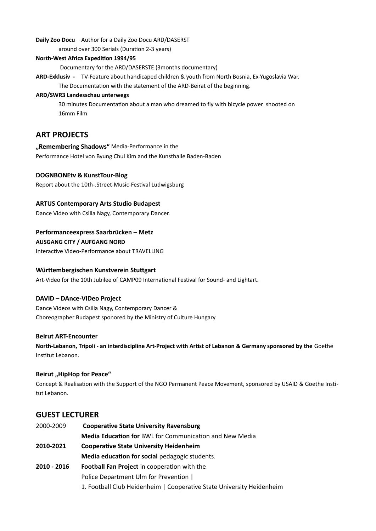**Daily Zoo Docu** Author for a Daily Zoo Docu ARD/DASERST

around over 300 Serials (Duration 2-3 years)

### **North-West Africa Expedition 1994/95**

Documentary for the ARD/DASERSTE (3months documentary)

**ARD-Exklusiv -** TV-Feature about handicaped children & youth from North Bosnia, Ex-Yugoslavia War. The Documentation with the statement of the ARD-Beirat of the beginning.

### **ARD/SWR3 Landesschau unterwegs**

30 minutes Documentation about a man who dreamed to fly with bicycle power shooted on 16mm Film

# **ART PROJECTS**

# **"Remembering Shadows"** Media-Performance in the Performance Hotel von Byung Chul Kim and the Kunsthalle Baden-Baden

## **DOGNBONEtv & KunstTour-Blog**

Report about the 10th-.Street-Music-Festival Ludwigsburg

## **ARTUS Contemporary Arts Studio Budapest**

Dance Video with Csilla Nagy, Contemporary Dancer.

## **Performanceexpress Saarbrücken – Metz**

**AUSGANG CITY / AUFGANG NORD** 

Interactive Video-Performance about TRAVELLING

# **Württembergischen Kunstverein Stuttgart**

Art-Video for the 10th Jubilee of CAMP09 International Festival for Sound- and Lightart.

## **DAVID – DAnce-VIDeo Project**

Dance Videos with Csilla Nagy, Contemporary Dancer & Choreographer Budapest sponored by the Ministry of Culture Hungary

## **Beirut ART-Encounter**

**North-Lebanon, Tripoli - an interdiscipline Art-Project with Artist of Lebanon & Germany sponsored by the** Goethe Institut Lebanon.

## **Beirut "HipHop for Peace"**

Concept & Realisation with the Support of the NGO Permanent Peace Movement, sponsored by USAID & Goethe Institut Lebanon.

# **GUEST LECTURER**

2000-2009 **Cooperative State University Ravensburg Media Education for** BWL for Communication and New Media **2010-2021 Cooperative State University Heidenheim Media education for social** pedagogic students. **2010 - 2016 Football Fan Project** in cooperation with the Police Department Ulm for Prevention | 1. Football Club Heidenheim | Cooperative State University Heidenheim